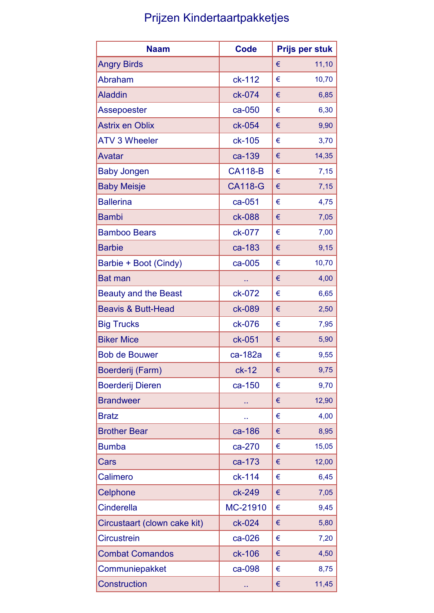## Prijzen Kindertaartpakketjes

| <b>Naam</b>                   | <b>Code</b>    |   | Prijs per stuk |
|-------------------------------|----------------|---|----------------|
| <b>Angry Birds</b>            |                | € | 11,10          |
| <b>Abraham</b>                | ck-112         | € | 10,70          |
| <b>Aladdin</b>                | ck-074         | € | 6,85           |
| <b>Assepoester</b>            | ca-050         | € | 6,30           |
| <b>Astrix en Oblix</b>        | ck-054         | € | 9,90           |
| <b>ATV 3 Wheeler</b>          | ck-105         | € | 3,70           |
| <b>Avatar</b>                 | ca-139         | € | 14,35          |
| <b>Baby Jongen</b>            | <b>CA118-B</b> | € | 7,15           |
| <b>Baby Meisje</b>            | <b>CA118-G</b> | € | 7,15           |
| <b>Ballerina</b>              | ca-051         | € | 4,75           |
| <b>Bambi</b>                  | ck-088         | € | 7,05           |
| <b>Bamboo Bears</b>           | ck-077         | € | 7,00           |
| <b>Barbie</b>                 | ca-183         | € | 9,15           |
| Barbie + Boot (Cindy)         | ca-005         | € | 10,70          |
| <b>Bat man</b>                | Ω,             | € | 4,00           |
| <b>Beauty and the Beast</b>   | ck-072         | € | 6,65           |
| <b>Beavis &amp; Butt-Head</b> | ck-089         | € | 2,50           |
| <b>Big Trucks</b>             | ck-076         | € | 7,95           |
| <b>Biker Mice</b>             | ck-051         | € | 5,90           |
| <b>Bob de Bouwer</b>          | ca-182a        | € | 9,55           |
| Boerderij (Farm)              | $ck-12$        | € | 9,75           |
| <b>Boerderij Dieren</b>       | ca-150         | € | 9,70           |
| <b>Brandweer</b>              | н,             | € | 12,90          |
| <b>Bratz</b>                  |                | € | 4,00           |
| <b>Brother Bear</b>           | ca-186         | € | 8,95           |
| <b>Bumba</b>                  | ca-270         | € | 15,05          |
| Cars                          | ca-173         | € | 12,00          |
| <b>Calimero</b>               | ck-114         | € | 6,45           |
| Celphone                      | ck-249         | € | 7,05           |
| <b>Cinderella</b>             | MC-21910       | € | 9,45           |
| Circustaart (clown cake kit)  | ck-024         | € | 5,80           |
| <b>Circustrein</b>            | ca-026         | € | 7,20           |
| <b>Combat Comandos</b>        | ck-106         | € | 4,50           |
| Communiepakket                | ca-098         | € | 8,75           |
| <b>Construction</b>           | н,             | € | 11,45          |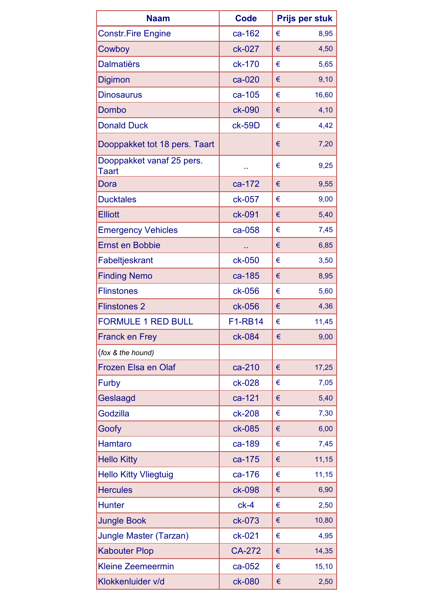| <b>Naam</b>                        | <b>Code</b>    | <b>Prijs per stuk</b> |
|------------------------------------|----------------|-----------------------|
| <b>Constr.Fire Engine</b>          | ca-162         | €<br>8,95             |
| Cowboy                             | ck-027         | €<br>4,50             |
| <b>Dalmatiërs</b>                  | ck-170         | €<br>5,65             |
| <b>Digimon</b>                     | ca-020         | 9,10<br>€             |
| <b>Dinosaurus</b>                  | ca-105         | €<br>16,60            |
| Dombo                              | ck-090         | €<br>4,10             |
| <b>Donald Duck</b>                 | ck-59D         | €<br>4,42             |
| Dooppakket tot 18 pers. Taart      |                | €<br>7,20             |
| Dooppakket vanaf 25 pers.<br>Taart | Ω,             | €<br>9,25             |
| Dora                               | ca-172         | €<br>9,55             |
| <b>Ducktales</b>                   | ck-057         | €<br>9,00             |
| <b>Elliott</b>                     | ck-091         | €<br>5,40             |
| <b>Emergency Vehicles</b>          | ca-058         | €<br>7,45             |
| <b>Ernst en Bobbie</b>             | а,             | €<br>6,85             |
| Fabeltjeskrant                     | ck-050         | €<br>3,50             |
| <b>Finding Nemo</b>                | ca-185         | €<br>8,95             |
| <b>Flinstones</b>                  | ck-056         | €<br>5,60             |
| <b>Flinstones 2</b>                | ck-056         | 4,36<br>€             |
| <b>FORMULE 1 RED BULL</b>          | <b>F1-RB14</b> | €<br>11,45            |
| <b>Franck en Frey</b>              | ck-084         | €<br>9,00             |
| (fox & the hound)                  |                |                       |
| <b>Frozen Elsa en Olaf</b>         | ca-210         | €<br>17,25            |
| Furby                              | ck-028         | 7,05<br>€             |
| Geslaagd                           | ca-121         | 5,40<br>€             |
| <b>Godzilla</b>                    | ck-208         | 7,30<br>€             |
| Goofy                              | ck-085         | 6,00<br>€             |
| <b>Hamtaro</b>                     | ca-189         | 7,45<br>€             |
| <b>Hello Kitty</b>                 | ca-175         | 11,15<br>€            |
| <b>Hello Kitty Vliegtuig</b>       | ca-176         | 11,15<br>€            |
| <b>Hercules</b>                    | ck-098         | €<br>6,90             |
| <b>Hunter</b>                      | $ck-4$         | 2,50<br>€             |
| <b>Jungle Book</b>                 | ck-073         | 10,80<br>€            |
| <b>Jungle Master (Tarzan)</b>      | ck-021         | €<br>4,95             |
| <b>Kabouter Plop</b>               | <b>CA-272</b>  | 14,35<br>€            |
| <b>Kleine Zeemeermin</b>           | ca-052         | €<br>15,10            |
| Klokkenluider v/d                  | ck-080         | 2,50<br>€             |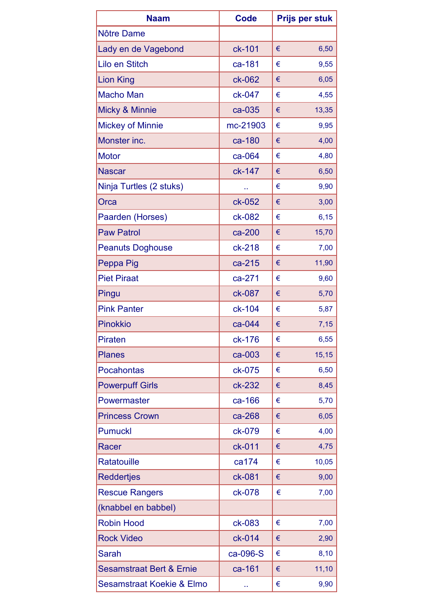| <b>Naam</b>                          | <b>Code</b> | Prijs per stuk |
|--------------------------------------|-------------|----------------|
| Nôtre Dame                           |             |                |
| Lady en de Vagebond                  | ck-101      | €<br>6,50      |
| Lilo en Stitch                       | ca-181      | 9,55<br>€      |
| <b>Lion King</b>                     | ck-062      | 6,05<br>€      |
| <b>Macho Man</b>                     | ck-047      | 4,55<br>€      |
| Micky & Minnie                       | ca-035      | €<br>13,35     |
| <b>Mickey of Minnie</b>              | mc-21903    | €<br>9,95      |
| Monster inc.                         | ca-180      | 4,00<br>€      |
| <b>Motor</b>                         | ca-064      | 4,80<br>€      |
| <b>Nascar</b>                        | ck-147      | 6,50<br>€      |
| Ninja Turtles (2 stuks)              | ò,          | 9,90<br>€      |
| Orca                                 | ck-052      | 3,00<br>€      |
| Paarden (Horses)                     | ck-082      | 6,15<br>€      |
| <b>Paw Patrol</b>                    | ca-200      | 15,70<br>€     |
| <b>Peanuts Doghouse</b>              | ck-218      | €<br>7,00      |
| Peppa Pig                            | ca-215      | 11,90<br>€     |
| <b>Piet Piraat</b>                   | ca-271      | €<br>9,60      |
| Pingu                                | ck-087      | €<br>5,70      |
| <b>Pink Panter</b>                   | ck-104      | €<br>5,87      |
| <b>Pinokkio</b>                      | ca-044      | 7,15<br>€      |
| <b>Piraten</b>                       | ck-176      | €<br>6,55      |
| <b>Planes</b>                        | ca-003      | 15,15<br>€     |
| <b>Pocahontas</b>                    | ck-075      | 6,50<br>€      |
| <b>Powerpuff Girls</b>               | ck-232      | 8,45<br>€      |
| Powermaster                          | ca-166      | 5,70<br>€      |
| <b>Princess Crown</b>                | ca-268      | 6,05<br>€      |
| <b>Pumuckl</b>                       | ck-079      | 4,00<br>€      |
| Racer                                | ck-011      | 4,75<br>€      |
| <b>Ratatouille</b>                   | ca174       | 10,05<br>€     |
| <b>Reddertjes</b>                    | ck-081      | 9,00<br>€      |
| <b>Rescue Rangers</b>                | ck-078      | 7,00<br>€      |
| (knabbel en babbel)                  |             |                |
| <b>Robin Hood</b>                    | ck-083      | €<br>7,00      |
| <b>Rock Video</b>                    | ck-014      | 2,90<br>€      |
| <b>Sarah</b>                         | ca-096-S    | 8,10<br>€      |
| <b>Sesamstraat Bert &amp; Ernie</b>  | ca-161      | 11,10<br>€     |
| <b>Sesamstraat Koekie &amp; Elmo</b> | œ           | 9,90<br>€      |